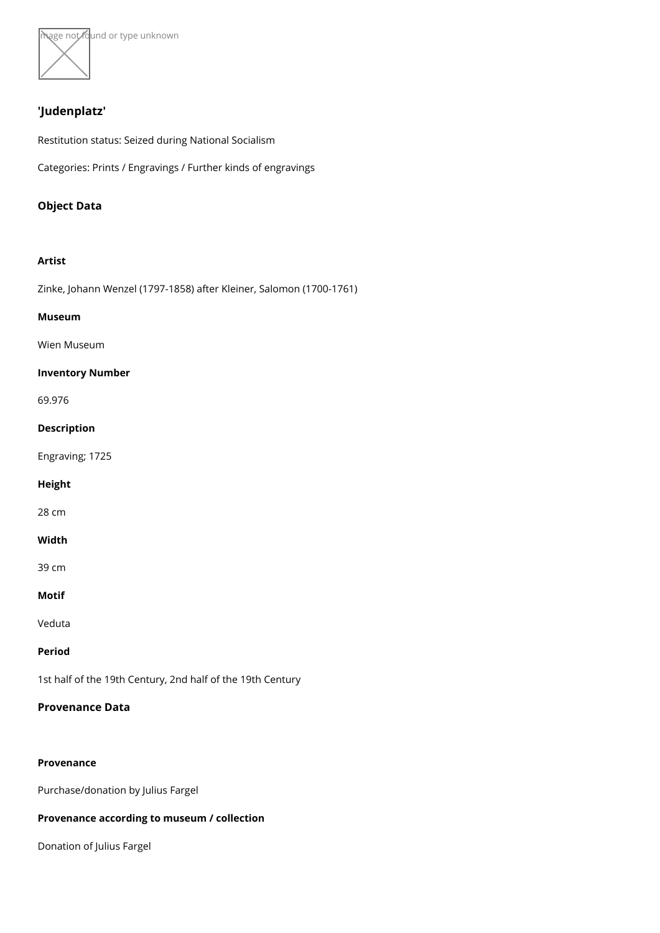

# 'Judenplatz'

Restitution status: Seized during National Socialism

Categories: Prints / Engravings / Further kinds of engravings

Object Data

Artist

[Zinke, Johann Wenzel \(1797-1858\) after Klein](https://www.kunstdatenbank.at/search-for-objects/artist/zinke  johann wenzel  1797-1858  after kleiner  salomon  1700-1761 )er, Salomon (1700-1761)

Museum

[Wien Mus](https://www.kunstdatenbank.at//detail-view-museum/wien-museum.html)eum

Inventory Number

69.976

Description

Engraving; 1725

Height

28 cm

Width

39 cm

Motif

Veduta

Period

1st half of the 19th Century, 2nd half of the 19th Century

Provenance Data

Provenance Purchase/donation by Julius Fargel Provenance according to museum / collection Donation of Julius Fargel